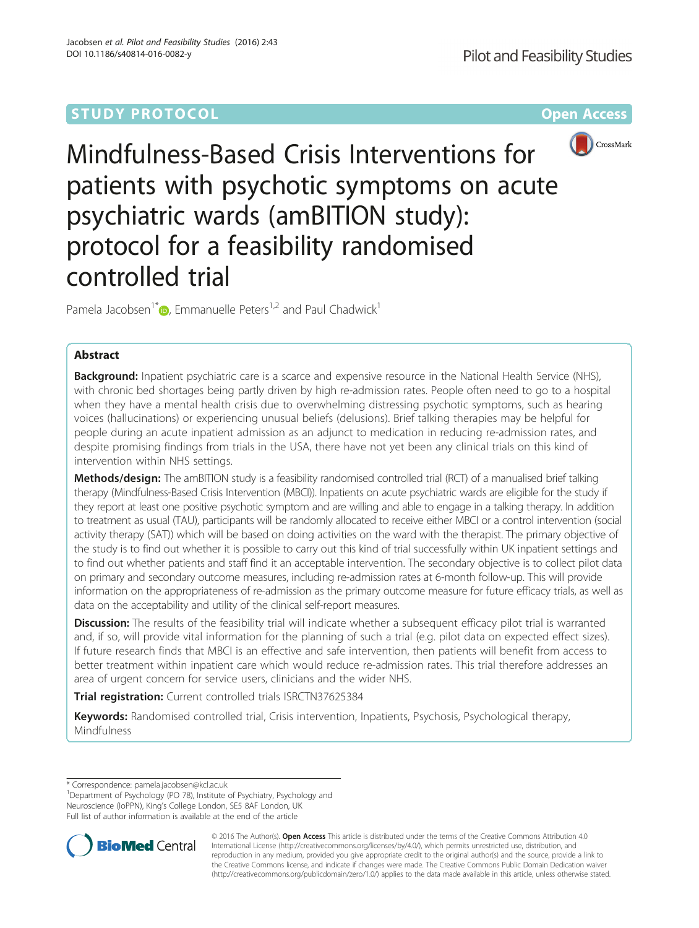# **STUDY PROTOCOL CONSUMING THE CONSUMING OPEN ACCESS**



Mindfulness-Based Crisis Interventions for patients with psychotic symptoms on acute psychiatric wards (amBITION study): protocol for a feasibility randomised controlled trial

Pamela Jacobsen<sup>1[\\*](http://orcid.org/0000-0001-8847-7775)</sup> $\bullet$ , Emmanuelle Peters<sup>1,2</sup> and Paul Chadwick<sup>1</sup>

# Abstract

Background: Inpatient psychiatric care is a scarce and expensive resource in the National Health Service (NHS), with chronic bed shortages being partly driven by high re-admission rates. People often need to go to a hospital when they have a mental health crisis due to overwhelming distressing psychotic symptoms, such as hearing voices (hallucinations) or experiencing unusual beliefs (delusions). Brief talking therapies may be helpful for people during an acute inpatient admission as an adjunct to medication in reducing re-admission rates, and despite promising findings from trials in the USA, there have not yet been any clinical trials on this kind of intervention within NHS settings.

Methods/design: The amBITION study is a feasibility randomised controlled trial (RCT) of a manualised brief talking therapy (Mindfulness-Based Crisis Intervention (MBCI)). Inpatients on acute psychiatric wards are eligible for the study if they report at least one positive psychotic symptom and are willing and able to engage in a talking therapy. In addition to treatment as usual (TAU), participants will be randomly allocated to receive either MBCI or a control intervention (social activity therapy (SAT)) which will be based on doing activities on the ward with the therapist. The primary objective of the study is to find out whether it is possible to carry out this kind of trial successfully within UK inpatient settings and to find out whether patients and staff find it an acceptable intervention. The secondary objective is to collect pilot data on primary and secondary outcome measures, including re-admission rates at 6-month follow-up. This will provide information on the appropriateness of re-admission as the primary outcome measure for future efficacy trials, as well as data on the acceptability and utility of the clinical self-report measures.

**Discussion:** The results of the feasibility trial will indicate whether a subsequent efficacy pilot trial is warranted and, if so, will provide vital information for the planning of such a trial (e.g. pilot data on expected effect sizes). If future research finds that MBCI is an effective and safe intervention, then patients will benefit from access to better treatment within inpatient care which would reduce re-admission rates. This trial therefore addresses an area of urgent concern for service users, clinicians and the wider NHS.

Trial registration: Current controlled trials [ISRCTN37625384](http://www.isrctn.com/ISRCTN37625384?q=ISRCTN37625384&filters=&sort=&offset=1&totalResults=1&page=1&pageSize=10&searchType=basicsearch)

Keywords: Randomised controlled trial, Crisis intervention, Inpatients, Psychosis, Psychological therapy, Mindfulness

\* Correspondence: [pamela.jacobsen@kcl.ac.uk](mailto:pamela.jacobsen@kcl.ac.uk) <sup>1</sup>

<sup>1</sup>Department of Psychology (PO 78), Institute of Psychiatry, Psychology and Neuroscience (IoPPN), King's College London, SE5 8AF London, UK Full list of author information is available at the end of the article



© 2016 The Author(s). Open Access This article is distributed under the terms of the Creative Commons Attribution 4.0 International License [\(http://creativecommons.org/licenses/by/4.0/](http://creativecommons.org/licenses/by/4.0/)), which permits unrestricted use, distribution, and reproduction in any medium, provided you give appropriate credit to the original author(s) and the source, provide a link to the Creative Commons license, and indicate if changes were made. The Creative Commons Public Domain Dedication waiver [\(http://creativecommons.org/publicdomain/zero/1.0/](http://creativecommons.org/publicdomain/zero/1.0/)) applies to the data made available in this article, unless otherwise stated.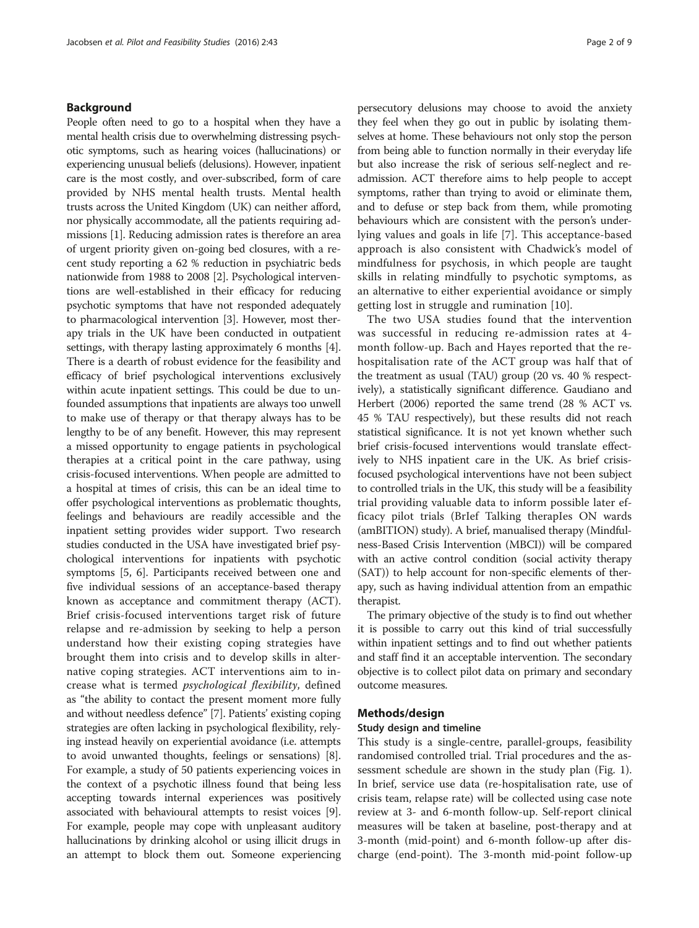## Background

People often need to go to a hospital when they have a mental health crisis due to overwhelming distressing psychotic symptoms, such as hearing voices (hallucinations) or experiencing unusual beliefs (delusions). However, inpatient care is the most costly, and over-subscribed, form of care provided by NHS mental health trusts. Mental health trusts across the United Kingdom (UK) can neither afford, nor physically accommodate, all the patients requiring admissions [[1\]](#page-7-0). Reducing admission rates is therefore an area of urgent priority given on-going bed closures, with a recent study reporting a 62 % reduction in psychiatric beds nationwide from 1988 to 2008 [[2](#page-7-0)]. Psychological interventions are well-established in their efficacy for reducing psychotic symptoms that have not responded adequately to pharmacological intervention [\[3](#page-7-0)]. However, most therapy trials in the UK have been conducted in outpatient settings, with therapy lasting approximately 6 months [[4](#page-7-0)]. There is a dearth of robust evidence for the feasibility and efficacy of brief psychological interventions exclusively within acute inpatient settings. This could be due to unfounded assumptions that inpatients are always too unwell to make use of therapy or that therapy always has to be lengthy to be of any benefit. However, this may represent a missed opportunity to engage patients in psychological therapies at a critical point in the care pathway, using crisis-focused interventions. When people are admitted to a hospital at times of crisis, this can be an ideal time to offer psychological interventions as problematic thoughts, feelings and behaviours are readily accessible and the inpatient setting provides wider support. Two research studies conducted in the USA have investigated brief psychological interventions for inpatients with psychotic symptoms [\[5](#page-7-0), [6](#page-7-0)]. Participants received between one and five individual sessions of an acceptance-based therapy known as acceptance and commitment therapy (ACT). Brief crisis-focused interventions target risk of future relapse and re-admission by seeking to help a person understand how their existing coping strategies have brought them into crisis and to develop skills in alternative coping strategies. ACT interventions aim to increase what is termed psychological flexibility, defined as "the ability to contact the present moment more fully and without needless defence" [\[7](#page-7-0)]. Patients' existing coping strategies are often lacking in psychological flexibility, relying instead heavily on experiential avoidance (i.e. attempts to avoid unwanted thoughts, feelings or sensations) [[8](#page-7-0)]. For example, a study of 50 patients experiencing voices in the context of a psychotic illness found that being less accepting towards internal experiences was positively associated with behavioural attempts to resist voices [[9](#page-7-0)]. For example, people may cope with unpleasant auditory hallucinations by drinking alcohol or using illicit drugs in an attempt to block them out. Someone experiencing persecutory delusions may choose to avoid the anxiety they feel when they go out in public by isolating themselves at home. These behaviours not only stop the person from being able to function normally in their everyday life but also increase the risk of serious self-neglect and readmission. ACT therefore aims to help people to accept symptoms, rather than trying to avoid or eliminate them, and to defuse or step back from them, while promoting behaviours which are consistent with the person's underlying values and goals in life [[7\]](#page-7-0). This acceptance-based approach is also consistent with Chadwick's model of mindfulness for psychosis, in which people are taught skills in relating mindfully to psychotic symptoms, as an alternative to either experiential avoidance or simply getting lost in struggle and rumination [[10\]](#page-7-0).

The two USA studies found that the intervention was successful in reducing re-admission rates at 4 month follow-up. Bach and Hayes reported that the rehospitalisation rate of the ACT group was half that of the treatment as usual (TAU) group (20 vs. 40 % respectively), a statistically significant difference. Gaudiano and Herbert (2006) reported the same trend (28 % ACT vs. 45 % TAU respectively), but these results did not reach statistical significance. It is not yet known whether such brief crisis-focused interventions would translate effectively to NHS inpatient care in the UK. As brief crisisfocused psychological interventions have not been subject to controlled trials in the UK, this study will be a feasibility trial providing valuable data to inform possible later efficacy pilot trials (BrIef Talking therapIes ON wards (amBITION) study). A brief, manualised therapy (Mindfulness-Based Crisis Intervention (MBCI)) will be compared with an active control condition (social activity therapy (SAT)) to help account for non-specific elements of therapy, such as having individual attention from an empathic therapist.

The primary objective of the study is to find out whether it is possible to carry out this kind of trial successfully within inpatient settings and to find out whether patients and staff find it an acceptable intervention. The secondary objective is to collect pilot data on primary and secondary outcome measures.

## Methods/design

## Study design and timeline

This study is a single-centre, parallel-groups, feasibility randomised controlled trial. Trial procedures and the assessment schedule are shown in the study plan (Fig. [1](#page-2-0)). In brief, service use data (re-hospitalisation rate, use of crisis team, relapse rate) will be collected using case note review at 3- and 6-month follow-up. Self-report clinical measures will be taken at baseline, post-therapy and at 3-month (mid-point) and 6-month follow-up after discharge (end-point). The 3-month mid-point follow-up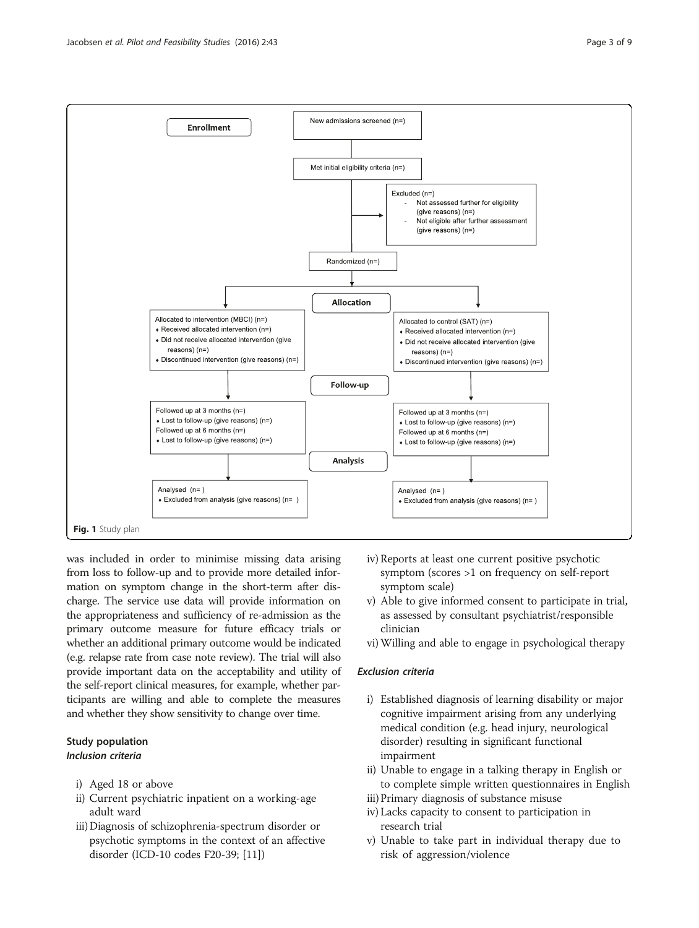<span id="page-2-0"></span>

was included in order to minimise missing data arising from loss to follow-up and to provide more detailed information on symptom change in the short-term after discharge. The service use data will provide information on the appropriateness and sufficiency of re-admission as the primary outcome measure for future efficacy trials or whether an additional primary outcome would be indicated (e.g. relapse rate from case note review). The trial will also provide important data on the acceptability and utility of the self-report clinical measures, for example, whether participants are willing and able to complete the measures and whether they show sensitivity to change over time.

# Study population

## Inclusion criteria

- i) Aged 18 or above
- ii) Current psychiatric inpatient on a working-age adult ward
- iii)Diagnosis of schizophrenia-spectrum disorder or psychotic symptoms in the context of an affective disorder (ICD-10 codes F20-39; [[11\]](#page-7-0))
- iv) Reports at least one current positive psychotic symptom (scores >1 on frequency on self-report symptom scale)
- v) Able to give informed consent to participate in trial, as assessed by consultant psychiatrist/responsible clinician
- vi)Willing and able to engage in psychological therapy

## Exclusion criteria

- i) Established diagnosis of learning disability or major cognitive impairment arising from any underlying medical condition (e.g. head injury, neurological disorder) resulting in significant functional impairment
- ii) Unable to engage in a talking therapy in English or to complete simple written questionnaires in English
- iii) Primary diagnosis of substance misuse
- iv) Lacks capacity to consent to participation in research trial
- v) Unable to take part in individual therapy due to risk of aggression/violence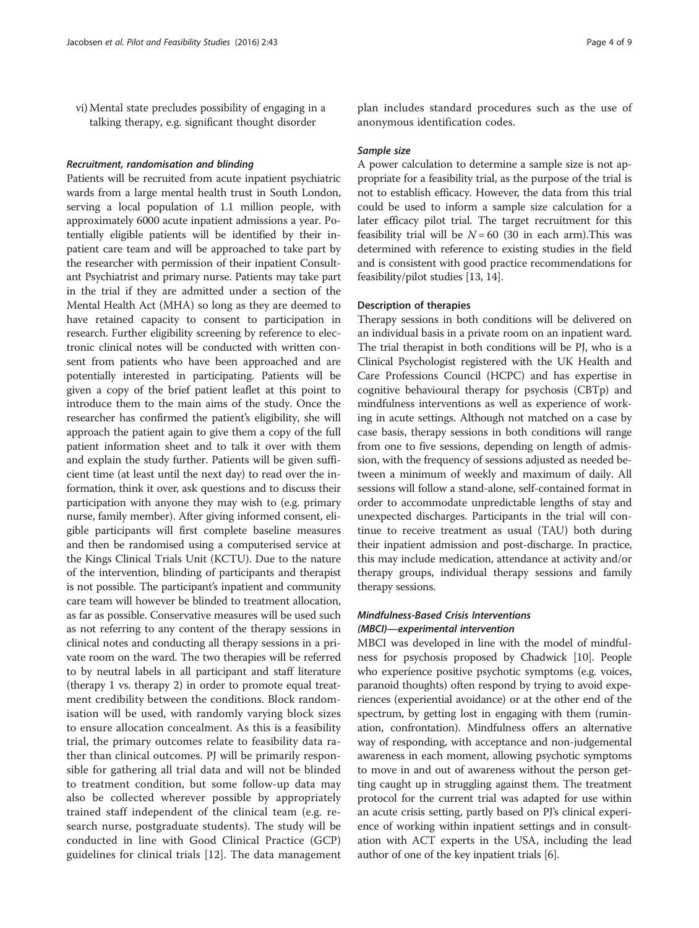vi) Mental state precludes possibility of engaging in a talking therapy, e.g. significant thought disorder

#### Recruitment, randomisation and blinding

Patients will be recruited from acute inpatient psychiatric wards from a large mental health trust in South London, serving a local population of 1.1 million people, with approximately 6000 acute inpatient admissions a year. Potentially eligible patients will be identified by their inpatient care team and will be approached to take part by the researcher with permission of their inpatient Consultant Psychiatrist and primary nurse. Patients may take part in the trial if they are admitted under a section of the Mental Health Act (MHA) so long as they are deemed to have retained capacity to consent to participation in research. Further eligibility screening by reference to electronic clinical notes will be conducted with written consent from patients who have been approached and are potentially interested in participating. Patients will be given a copy of the brief patient leaflet at this point to introduce them to the main aims of the study. Once the researcher has confirmed the patient's eligibility, she will approach the patient again to give them a copy of the full patient information sheet and to talk it over with them and explain the study further. Patients will be given sufficient time (at least until the next day) to read over the information, think it over, ask questions and to discuss their participation with anyone they may wish to (e.g. primary nurse, family member). After giving informed consent, eligible participants will first complete baseline measures and then be randomised using a computerised service at the Kings Clinical Trials Unit (KCTU). Due to the nature of the intervention, blinding of participants and therapist is not possible. The participant's inpatient and community care team will however be blinded to treatment allocation, as far as possible. Conservative measures will be used such as not referring to any content of the therapy sessions in clinical notes and conducting all therapy sessions in a private room on the ward. The two therapies will be referred to by neutral labels in all participant and staff literature (therapy 1 vs. therapy 2) in order to promote equal treatment credibility between the conditions. Block randomisation will be used, with randomly varying block sizes to ensure allocation concealment. As this is a feasibility trial, the primary outcomes relate to feasibility data rather than clinical outcomes. PJ will be primarily responsible for gathering all trial data and will not be blinded to treatment condition, but some follow-up data may also be collected wherever possible by appropriately trained staff independent of the clinical team (e.g. research nurse, postgraduate students). The study will be conducted in line with Good Clinical Practice (GCP) guidelines for clinical trials [\[12](#page-7-0)]. The data management

plan includes standard procedures such as the use of anonymous identification codes.

#### Sample size

A power calculation to determine a sample size is not appropriate for a feasibility trial, as the purpose of the trial is not to establish efficacy. However, the data from this trial could be used to inform a sample size calculation for a later efficacy pilot trial. The target recruitment for this feasibility trial will be  $N = 60$  (30 in each arm). This was determined with reference to existing studies in the field and is consistent with good practice recommendations for feasibility/pilot studies [[13, 14\]](#page-8-0).

#### Description of therapies

Therapy sessions in both conditions will be delivered on an individual basis in a private room on an inpatient ward. The trial therapist in both conditions will be PJ, who is a Clinical Psychologist registered with the UK Health and Care Professions Council (HCPC) and has expertise in cognitive behavioural therapy for psychosis (CBTp) and mindfulness interventions as well as experience of working in acute settings. Although not matched on a case by case basis, therapy sessions in both conditions will range from one to five sessions, depending on length of admission, with the frequency of sessions adjusted as needed between a minimum of weekly and maximum of daily. All sessions will follow a stand-alone, self-contained format in order to accommodate unpredictable lengths of stay and unexpected discharges. Participants in the trial will continue to receive treatment as usual (TAU) both during their inpatient admission and post-discharge. In practice, this may include medication, attendance at activity and/or therapy groups, individual therapy sessions and family therapy sessions.

## Mindfulness-Based Crisis Interventions (MBCI)—experimental intervention

MBCI was developed in line with the model of mindfulness for psychosis proposed by Chadwick [[10](#page-7-0)]. People who experience positive psychotic symptoms (e.g. voices, paranoid thoughts) often respond by trying to avoid experiences (experiential avoidance) or at the other end of the spectrum, by getting lost in engaging with them (rumination, confrontation). Mindfulness offers an alternative way of responding, with acceptance and non-judgemental awareness in each moment, allowing psychotic symptoms to move in and out of awareness without the person getting caught up in struggling against them. The treatment protocol for the current trial was adapted for use within an acute crisis setting, partly based on PJ's clinical experience of working within inpatient settings and in consultation with ACT experts in the USA, including the lead author of one of the key inpatient trials [[6\]](#page-7-0).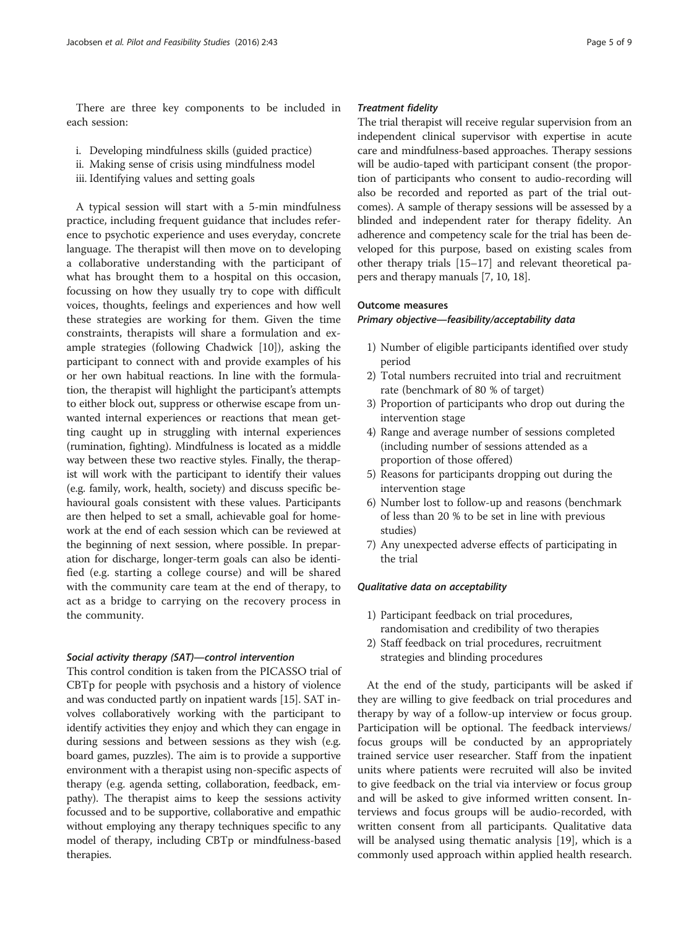There are three key components to be included in each session:

- i. Developing mindfulness skills (guided practice)
- ii. Making sense of crisis using mindfulness model
- iii. Identifying values and setting goals

A typical session will start with a 5-min mindfulness practice, including frequent guidance that includes reference to psychotic experience and uses everyday, concrete language. The therapist will then move on to developing a collaborative understanding with the participant of what has brought them to a hospital on this occasion, focussing on how they usually try to cope with difficult voices, thoughts, feelings and experiences and how well these strategies are working for them. Given the time constraints, therapists will share a formulation and example strategies (following Chadwick [[10](#page-7-0)]), asking the participant to connect with and provide examples of his or her own habitual reactions. In line with the formulation, the therapist will highlight the participant's attempts to either block out, suppress or otherwise escape from unwanted internal experiences or reactions that mean getting caught up in struggling with internal experiences (rumination, fighting). Mindfulness is located as a middle way between these two reactive styles. Finally, the therapist will work with the participant to identify their values (e.g. family, work, health, society) and discuss specific behavioural goals consistent with these values. Participants are then helped to set a small, achievable goal for homework at the end of each session which can be reviewed at the beginning of next session, where possible. In preparation for discharge, longer-term goals can also be identified (e.g. starting a college course) and will be shared with the community care team at the end of therapy, to act as a bridge to carrying on the recovery process in the community.

## Social activity therapy (SAT)—control intervention

This control condition is taken from the PICASSO trial of CBTp for people with psychosis and a history of violence and was conducted partly on inpatient wards [[15](#page-8-0)]. SAT involves collaboratively working with the participant to identify activities they enjoy and which they can engage in during sessions and between sessions as they wish (e.g. board games, puzzles). The aim is to provide a supportive environment with a therapist using non-specific aspects of therapy (e.g. agenda setting, collaboration, feedback, empathy). The therapist aims to keep the sessions activity focussed and to be supportive, collaborative and empathic without employing any therapy techniques specific to any model of therapy, including CBTp or mindfulness-based therapies.

### Treatment fidelity

The trial therapist will receive regular supervision from an independent clinical supervisor with expertise in acute care and mindfulness-based approaches. Therapy sessions will be audio-taped with participant consent (the proportion of participants who consent to audio-recording will also be recorded and reported as part of the trial outcomes). A sample of therapy sessions will be assessed by a blinded and independent rater for therapy fidelity. An adherence and competency scale for the trial has been developed for this purpose, based on existing scales from other therapy trials [\[15](#page-8-0)–[17\]](#page-8-0) and relevant theoretical papers and therapy manuals [\[7](#page-7-0), [10](#page-7-0), [18\]](#page-8-0).

#### Outcome measures

## Primary objective—feasibility/acceptability data

- 1) Number of eligible participants identified over study period
- 2) Total numbers recruited into trial and recruitment rate (benchmark of 80 % of target)
- 3) Proportion of participants who drop out during the intervention stage
- 4) Range and average number of sessions completed (including number of sessions attended as a proportion of those offered)
- 5) Reasons for participants dropping out during the intervention stage
- 6) Number lost to follow-up and reasons (benchmark of less than 20 % to be set in line with previous studies)
- 7) Any unexpected adverse effects of participating in the trial

#### Qualitative data on acceptability

- 1) Participant feedback on trial procedures, randomisation and credibility of two therapies
- 2) Staff feedback on trial procedures, recruitment strategies and blinding procedures

At the end of the study, participants will be asked if they are willing to give feedback on trial procedures and therapy by way of a follow-up interview or focus group. Participation will be optional. The feedback interviews/ focus groups will be conducted by an appropriately trained service user researcher. Staff from the inpatient units where patients were recruited will also be invited to give feedback on the trial via interview or focus group and will be asked to give informed written consent. Interviews and focus groups will be audio-recorded, with written consent from all participants. Qualitative data will be analysed using thematic analysis [\[19](#page-8-0)], which is a commonly used approach within applied health research.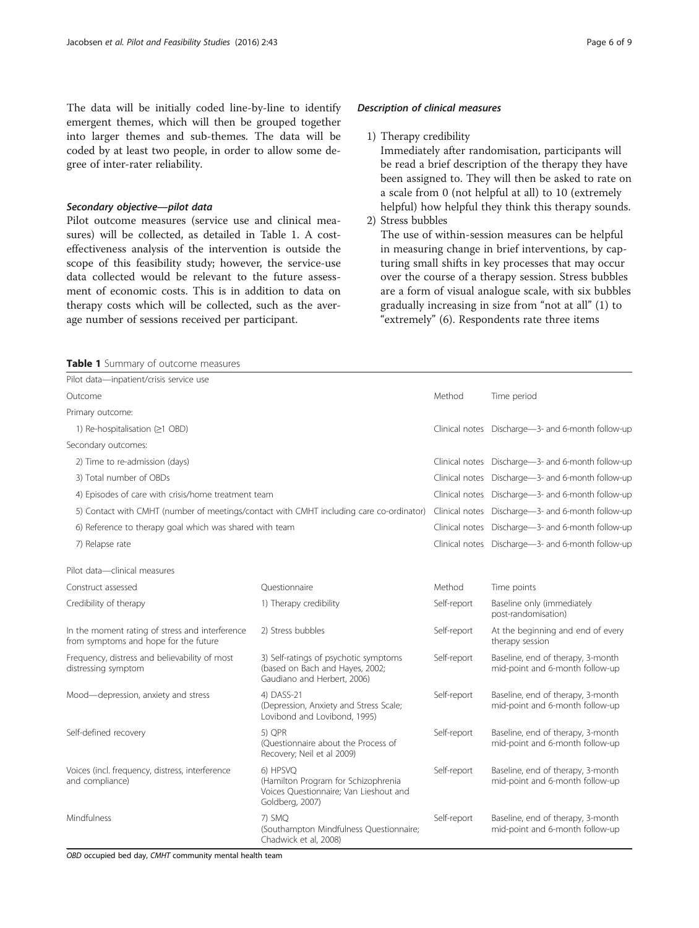## Secondary objective—pilot data

Pilot outcome measures (service use and clinical measures) will be collected, as detailed in Table 1. A costeffectiveness analysis of the intervention is outside the scope of this feasibility study; however, the service-use data collected would be relevant to the future assessment of economic costs. This is in addition to data on therapy costs which will be collected, such as the average number of sessions received per participant.

## Description of clinical measures

## 1) Therapy credibility

Immediately after randomisation, participants will be read a brief description of the therapy they have been assigned to. They will then be asked to rate on a scale from 0 (not helpful at all) to 10 (extremely helpful) how helpful they think this therapy sounds.

2) Stress bubbles

The use of within-session measures can be helpful in measuring change in brief interventions, by capturing small shifts in key processes that may occur over the course of a therapy session. Stress bubbles are a form of visual analogue scale, with six bubbles gradually increasing in size from "not at all" (1) to "extremely" (6). Respondents rate three items

### Table 1 Summary of outcome measures

| Pilot data-inpatient/crisis service use                                                  |                                                                                                              |             |                                                                      |
|------------------------------------------------------------------------------------------|--------------------------------------------------------------------------------------------------------------|-------------|----------------------------------------------------------------------|
| Outcome                                                                                  |                                                                                                              | Method      | Time period                                                          |
| Primary outcome:                                                                         |                                                                                                              |             |                                                                      |
| 1) Re-hospitalisation (≥1 OBD)                                                           |                                                                                                              |             | Clinical notes Discharge-3- and 6-month follow-up                    |
| Secondary outcomes:                                                                      |                                                                                                              |             |                                                                      |
| 2) Time to re-admission (days)                                                           |                                                                                                              |             | Clinical notes Discharge-3- and 6-month follow-up                    |
| 3) Total number of OBDs                                                                  |                                                                                                              |             | Clinical notes Discharge-3- and 6-month follow-up                    |
| 4) Episodes of care with crisis/home treatment team                                      |                                                                                                              |             | Clinical notes Discharge-3- and 6-month follow-up                    |
| 5) Contact with CMHT (number of meetings/contact with CMHT including care co-ordinator)  |                                                                                                              |             | Clinical notes Discharge-3- and 6-month follow-up                    |
| 6) Reference to therapy goal which was shared with team                                  |                                                                                                              |             | Clinical notes Discharge-3- and 6-month follow-up                    |
| 7) Relapse rate                                                                          |                                                                                                              |             | Clinical notes Discharge-3- and 6-month follow-up                    |
| Pilot data-clinical measures                                                             |                                                                                                              |             |                                                                      |
| Construct assessed                                                                       | Ouestionnaire                                                                                                | Method      | Time points                                                          |
| Credibility of therapy                                                                   | 1) Therapy credibility                                                                                       | Self-report | Baseline only (immediately<br>post-randomisation)                    |
| In the moment rating of stress and interference<br>from symptoms and hope for the future | 2) Stress bubbles                                                                                            | Self-report | At the beginning and end of every<br>therapy session                 |
| Frequency, distress and believability of most<br>distressing symptom                     | 3) Self-ratings of psychotic symptoms<br>(based on Bach and Hayes, 2002;<br>Gaudiano and Herbert, 2006)      | Self-report | Baseline, end of therapy, 3-month<br>mid-point and 6-month follow-up |
| Mood-depression, anxiety and stress                                                      | 4) DASS-21<br>(Depression, Anxiety and Stress Scale;<br>Lovibond and Lovibond, 1995)                         | Self-report | Baseline, end of therapy, 3-month<br>mid-point and 6-month follow-up |
| Self-defined recovery                                                                    | 5) OPR<br>(Questionnaire about the Process of<br>Recovery; Neil et al 2009)                                  | Self-report | Baseline, end of therapy, 3-month<br>mid-point and 6-month follow-up |
| Voices (incl. frequency, distress, interference<br>and compliance)                       | 6) HPSVO<br>(Hamilton Program for Schizophrenia<br>Voices Questionnaire; Van Lieshout and<br>Goldberg, 2007) | Self-report | Baseline, end of therapy, 3-month<br>mid-point and 6-month follow-up |
| Mindfulness                                                                              | 7) SMQ<br>(Southampton Mindfulness Questionnaire;<br>Chadwick et al, 2008)                                   | Self-report | Baseline, end of therapy, 3-month<br>mid-point and 6-month follow-up |

OBD occupied bed day, CMHT community mental health team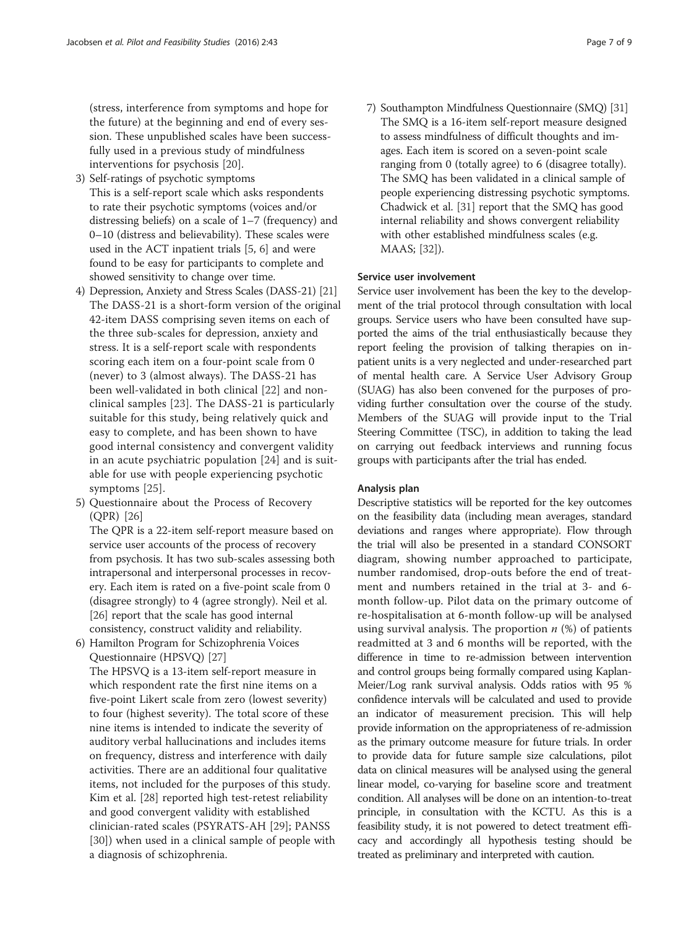(stress, interference from symptoms and hope for the future) at the beginning and end of every session. These unpublished scales have been successfully used in a previous study of mindfulness interventions for psychosis [[20\]](#page-8-0).

- 3) Self-ratings of psychotic symptoms This is a self-report scale which asks respondents to rate their psychotic symptoms (voices and/or distressing beliefs) on a scale of 1–7 (frequency) and 0–10 (distress and believability). These scales were used in the ACT inpatient trials [\[5](#page-7-0), [6](#page-7-0)] and were found to be easy for participants to complete and showed sensitivity to change over time.
- 4) Depression, Anxiety and Stress Scales (DASS-21) [\[21\]](#page-8-0) The DASS-21 is a short-form version of the original 42-item DASS comprising seven items on each of the three sub-scales for depression, anxiety and stress. It is a self-report scale with respondents scoring each item on a four-point scale from 0 (never) to 3 (almost always). The DASS-21 has been well-validated in both clinical [[22\]](#page-8-0) and nonclinical samples [[23](#page-8-0)]. The DASS-21 is particularly suitable for this study, being relatively quick and easy to complete, and has been shown to have good internal consistency and convergent validity in an acute psychiatric population [\[24](#page-8-0)] and is suitable for use with people experiencing psychotic symptoms [\[25](#page-8-0)].
- 5) Questionnaire about the Process of Recovery (QPR) [[26\]](#page-8-0)

The QPR is a 22-item self-report measure based on service user accounts of the process of recovery from psychosis. It has two sub-scales assessing both intrapersonal and interpersonal processes in recovery. Each item is rated on a five-point scale from 0 (disagree strongly) to 4 (agree strongly). Neil et al. [\[26](#page-8-0)] report that the scale has good internal consistency, construct validity and reliability.

6) Hamilton Program for Schizophrenia Voices Questionnaire (HPSVQ) [\[27](#page-8-0)]

The HPSVQ is a 13-item self-report measure in which respondent rate the first nine items on a five-point Likert scale from zero (lowest severity) to four (highest severity). The total score of these nine items is intended to indicate the severity of auditory verbal hallucinations and includes items on frequency, distress and interference with daily activities. There are an additional four qualitative items, not included for the purposes of this study. Kim et al. [\[28](#page-8-0)] reported high test-retest reliability and good convergent validity with established clinician-rated scales (PSYRATS-AH [[29\]](#page-8-0); PANSS [[30](#page-8-0)]) when used in a clinical sample of people with a diagnosis of schizophrenia.

7) Southampton Mindfulness Questionnaire (SMQ) [\[31\]](#page-8-0) The SMQ is a 16-item self-report measure designed to assess mindfulness of difficult thoughts and images. Each item is scored on a seven-point scale ranging from 0 (totally agree) to 6 (disagree totally). The SMQ has been validated in a clinical sample of people experiencing distressing psychotic symptoms. Chadwick et al. [\[31](#page-8-0)] report that the SMQ has good internal reliability and shows convergent reliability with other established mindfulness scales (e.g. MAAS; [\[32](#page-8-0)]).

#### Service user involvement

Service user involvement has been the key to the development of the trial protocol through consultation with local groups. Service users who have been consulted have supported the aims of the trial enthusiastically because they report feeling the provision of talking therapies on inpatient units is a very neglected and under-researched part of mental health care. A Service User Advisory Group (SUAG) has also been convened for the purposes of providing further consultation over the course of the study. Members of the SUAG will provide input to the Trial Steering Committee (TSC), in addition to taking the lead on carrying out feedback interviews and running focus groups with participants after the trial has ended.

### Analysis plan

Descriptive statistics will be reported for the key outcomes on the feasibility data (including mean averages, standard deviations and ranges where appropriate). Flow through the trial will also be presented in a standard CONSORT diagram, showing number approached to participate, number randomised, drop-outs before the end of treatment and numbers retained in the trial at 3- and 6 month follow-up. Pilot data on the primary outcome of re-hospitalisation at 6-month follow-up will be analysed using survival analysis. The proportion  $n$  (%) of patients readmitted at 3 and 6 months will be reported, with the difference in time to re-admission between intervention and control groups being formally compared using Kaplan-Meier/Log rank survival analysis. Odds ratios with 95 % confidence intervals will be calculated and used to provide an indicator of measurement precision. This will help provide information on the appropriateness of re-admission as the primary outcome measure for future trials. In order to provide data for future sample size calculations, pilot data on clinical measures will be analysed using the general linear model, co-varying for baseline score and treatment condition. All analyses will be done on an intention-to-treat principle, in consultation with the KCTU. As this is a feasibility study, it is not powered to detect treatment efficacy and accordingly all hypothesis testing should be treated as preliminary and interpreted with caution.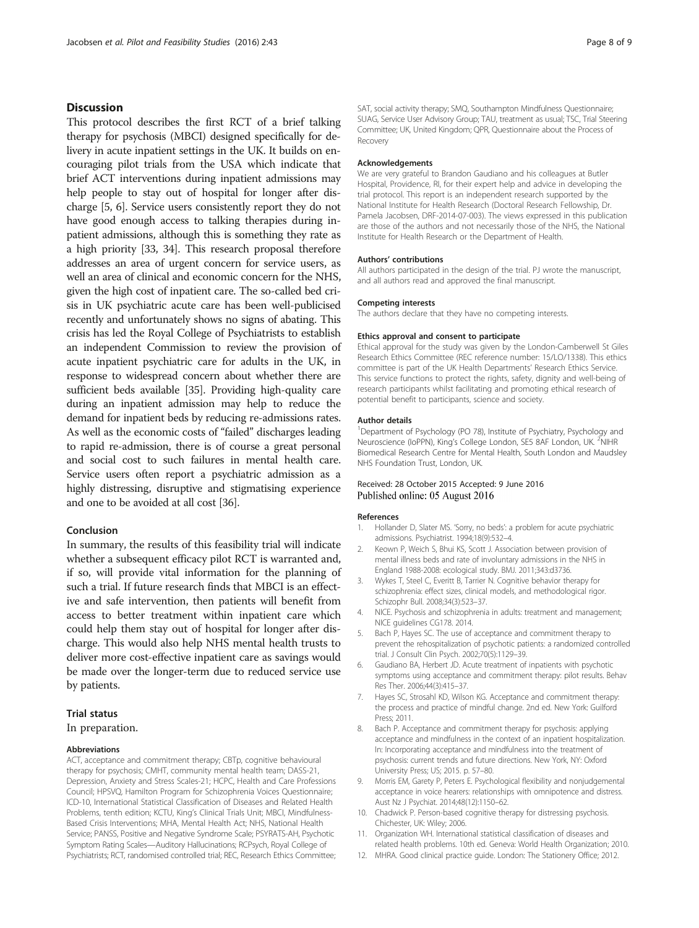## <span id="page-7-0"></span>**Discussion**

This protocol describes the first RCT of a brief talking therapy for psychosis (MBCI) designed specifically for delivery in acute inpatient settings in the UK. It builds on encouraging pilot trials from the USA which indicate that brief ACT interventions during inpatient admissions may help people to stay out of hospital for longer after discharge [5, 6]. Service users consistently report they do not have good enough access to talking therapies during inpatient admissions, although this is something they rate as a high priority [\[33, 34](#page-8-0)]. This research proposal therefore addresses an area of urgent concern for service users, as well an area of clinical and economic concern for the NHS, given the high cost of inpatient care. The so-called bed crisis in UK psychiatric acute care has been well-publicised recently and unfortunately shows no signs of abating. This crisis has led the Royal College of Psychiatrists to establish an independent Commission to review the provision of acute inpatient psychiatric care for adults in the UK, in response to widespread concern about whether there are sufficient beds available [[35](#page-8-0)]. Providing high-quality care during an inpatient admission may help to reduce the demand for inpatient beds by reducing re-admissions rates. As well as the economic costs of "failed" discharges leading to rapid re-admission, there is of course a great personal and social cost to such failures in mental health care. Service users often report a psychiatric admission as a highly distressing, disruptive and stigmatising experience and one to be avoided at all cost [[36](#page-8-0)].

## Conclusion

In summary, the results of this feasibility trial will indicate whether a subsequent efficacy pilot RCT is warranted and, if so, will provide vital information for the planning of such a trial. If future research finds that MBCI is an effective and safe intervention, then patients will benefit from access to better treatment within inpatient care which could help them stay out of hospital for longer after discharge. This would also help NHS mental health trusts to deliver more cost-effective inpatient care as savings would be made over the longer-term due to reduced service use by patients.

#### Trial status

## In preparation.

#### Abbreviations

ACT, acceptance and commitment therapy; CBTp, cognitive behavioural therapy for psychosis; CMHT, community mental health team; DASS-21, Depression, Anxiety and Stress Scales-21; HCPC, Health and Care Professions Council; HPSVQ, Hamilton Program for Schizophrenia Voices Questionnaire; ICD-10, International Statistical Classification of Diseases and Related Health Problems, tenth edition; KCTU, King's Clinical Trials Unit; MBCI, Mindfulness-Based Crisis Interventions; MHA, Mental Health Act; NHS, National Health Service; PANSS, Positive and Negative Syndrome Scale; PSYRATS-AH, Psychotic Symptom Rating Scales—Auditory Hallucinations; RCPsych, Royal College of Psychiatrists; RCT, randomised controlled trial; REC, Research Ethics Committee;

SAT, social activity therapy; SMQ, Southampton Mindfulness Questionnaire; SUAG, Service User Advisory Group; TAU, treatment as usual; TSC, Trial Steering Committee; UK, United Kingdom; QPR, Questionnaire about the Process of Recovery

#### Acknowledgements

We are very grateful to Brandon Gaudiano and his colleagues at Butler Hospital, Providence, RI, for their expert help and advice in developing the trial protocol. This report is an independent research supported by the National Institute for Health Research (Doctoral Research Fellowship, Dr. Pamela Jacobsen, DRF-2014-07-003). The views expressed in this publication are those of the authors and not necessarily those of the NHS, the National Institute for Health Research or the Department of Health.

#### Authors' contributions

All authors participated in the design of the trial. PJ wrote the manuscript, and all authors read and approved the final manuscript.

#### Competing interests

The authors declare that they have no competing interests.

#### Ethics approval and consent to participate

Ethical approval for the study was given by the London-Camberwell St Giles Research Ethics Committee (REC reference number: 15/LO/1338). This ethics committee is part of the UK Health Departments' Research Ethics Service. This service functions to protect the rights, safety, dignity and well-being of research participants whilst facilitating and promoting ethical research of potential benefit to participants, science and society.

#### Author details

<sup>1</sup>Department of Psychology (PO 78), Institute of Psychiatry, Psychology and Neuroscience (IoPPN), King's College London, SE5 8AF London, UK. <sup>2</sup>NIHR Biomedical Research Centre for Mental Health, South London and Maudsley NHS Foundation Trust, London, UK.

#### Received: 28 October 2015 Accepted: 9 June 2016 Published online: 05 August 2016

#### References

- 1. Hollander D, Slater MS. 'Sorry, no beds': a problem for acute psychiatric admissions. Psychiatrist. 1994;18(9):532–4.
- 2. Keown P, Weich S, Bhui KS, Scott J. Association between provision of mental illness beds and rate of involuntary admissions in the NHS in England 1988-2008: ecological study. BMJ. 2011;343:d3736.
- 3. Wykes T, Steel C, Everitt B, Tarrier N. Cognitive behavior therapy for schizophrenia: effect sizes, clinical models, and methodological rigor. Schizophr Bull. 2008;34(3):523–37.
- 4. NICE. Psychosis and schizophrenia in adults: treatment and management; NICE guidelines CG178. 2014.
- 5. Bach P, Hayes SC. The use of acceptance and commitment therapy to prevent the rehospitalization of psychotic patients: a randomized controlled trial. J Consult Clin Psych. 2002;70(5):1129–39.
- 6. Gaudiano BA, Herbert JD. Acute treatment of inpatients with psychotic symptoms using acceptance and commitment therapy: pilot results. Behav Res Ther. 2006;44(3):415–37.
- 7. Hayes SC, Strosahl KD, Wilson KG. Acceptance and commitment therapy: the process and practice of mindful change. 2nd ed. New York: Guilford Press; 2011.
- 8. Bach P. Acceptance and commitment therapy for psychosis: applying acceptance and mindfulness in the context of an inpatient hospitalization. In: Incorporating acceptance and mindfulness into the treatment of psychosis: current trends and future directions. New York, NY: Oxford University Press; US; 2015. p. 57–80.
- 9. Morris EM, Garety P, Peters E. Psychological flexibility and nonjudgemental acceptance in voice hearers: relationships with omnipotence and distress. Aust Nz J Psychiat. 2014;48(12):1150–62.
- 10. Chadwick P. Person-based cognitive therapy for distressing psychosis. Chichester, UK: Wiley; 2006.
- 11. Organization WH. International statistical classification of diseases and related health problems. 10th ed. Geneva: World Health Organization; 2010.
- 12. MHRA. Good clinical practice guide. London: The Stationery Office; 2012.